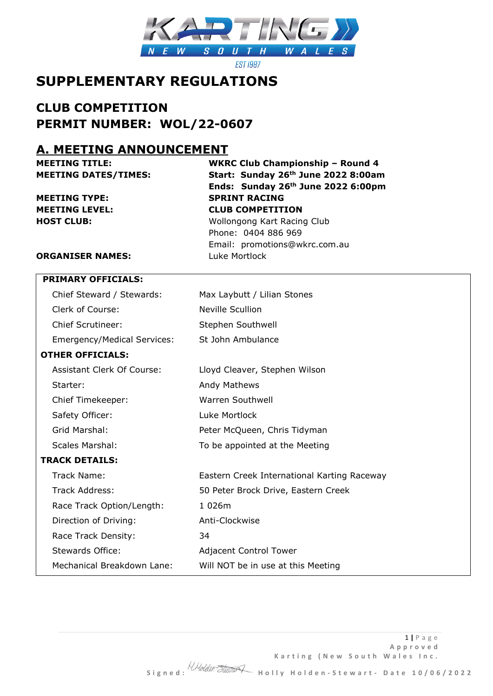

**EST 1987** 

# **SUPPLEMENTARY REGULATIONS**

# **CLUB COMPETITION PERMIT NUMBER: WOL/22-0607**

### **A. MEETING ANNOUNCEMENT**

**MEETING TYPE: SPRINT RACING**

**MEETING TITLE: WKRC Club Championship – Round 4 MEETING DATES/TIMES: Start: Sunday 26th June 2022 8:00am Ends: Sunday 26th June 2022 6:00pm MEETING LEVEL: CLUB COMPETITION HOST CLUB:** Wollongong Kart Racing Club Phone: 0404 886 969 Email: promotions@wkrc.com.au

#### **ORGANISER NAMES:** Luke Mortlock

| <b>PRIMARY OFFICIALS:</b>          |                                             |
|------------------------------------|---------------------------------------------|
| Chief Steward / Stewards:          | Max Laybutt / Lilian Stones                 |
| Clerk of Course:                   | <b>Neville Scullion</b>                     |
| <b>Chief Scrutineer:</b>           | Stephen Southwell                           |
| <b>Emergency/Medical Services:</b> | St John Ambulance                           |
| <b>OTHER OFFICIALS:</b>            |                                             |
| Assistant Clerk Of Course:         | Lloyd Cleaver, Stephen Wilson               |
| Starter:                           | <b>Andy Mathews</b>                         |
| Chief Timekeeper:                  | Warren Southwell                            |
| Safety Officer:                    | Luke Mortlock                               |
| Grid Marshal:                      | Peter McQueen, Chris Tidyman                |
| <b>Scales Marshal:</b>             | To be appointed at the Meeting              |
| <b>TRACK DETAILS:</b>              |                                             |
| Track Name:                        | Eastern Creek International Karting Raceway |
| Track Address:                     | 50 Peter Brock Drive, Eastern Creek         |
| Race Track Option/Length:          | 1 026m                                      |
| Direction of Driving:              | Anti-Clockwise                              |
| Race Track Density:                | 34                                          |
| <b>Stewards Office:</b>            | <b>Adjacent Control Tower</b>               |
| Mechanical Breakdown Lane:         | Will NOT be in use at this Meeting          |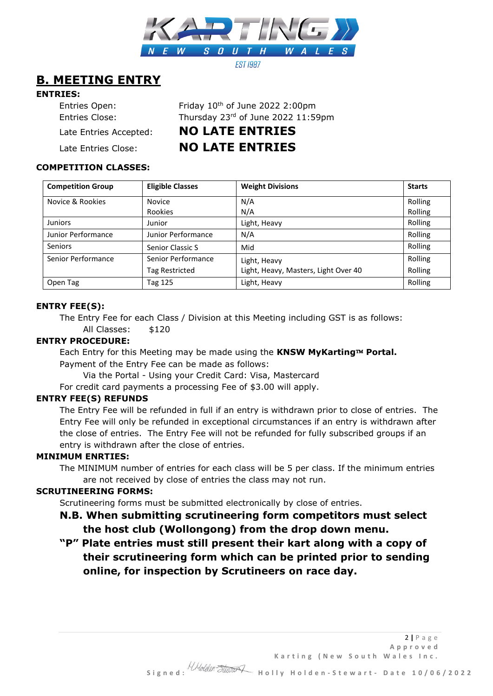

# **B. MEETING ENTRY**

#### **ENTRIES:**

| Entries Open:<br>Entries Close: | Friday 10th of June 2022 2:00pm<br>Thursday 23rd of June 2022 11:59pm |
|---------------------------------|-----------------------------------------------------------------------|
| Late Entries Accepted:          | <b>NO LATE ENTRIES</b>                                                |
| Late Entries Close:             | <b>NO LATE ENTRIES</b>                                                |

#### **COMPETITION CLASSES:**

| <b>Competition Group</b> | <b>Eligible Classes</b> | <b>Weight Divisions</b>              | <b>Starts</b> |
|--------------------------|-------------------------|--------------------------------------|---------------|
| Novice & Rookies         | <b>Novice</b>           | N/A                                  | Rolling       |
|                          | Rookies                 | N/A                                  | Rolling       |
| <b>Juniors</b>           | Junior                  | Light, Heavy                         | Rolling       |
| Junior Performance       | Junior Performance      | N/A                                  | Rolling       |
| <b>Seniors</b>           | Senior Classic S        | Mid                                  | Rolling       |
| Senior Performance       | Senior Performance      | Light, Heavy                         | Rolling       |
|                          | <b>Tag Restricted</b>   | Light, Heavy, Masters, Light Over 40 | Rolling       |
| Open Tag                 | Tag 125                 | Light, Heavy                         | Rolling       |

#### **ENTRY FEE(S):**

The Entry Fee for each Class / Division at this Meeting including GST is as follows: All Classes: \$120

#### **ENTRY PROCEDURE:**

Each Entry for this Meeting may be made using the KNSW MyKarting™ Portal. Payment of the Entry Fee can be made as follows:

Via the Portal - Using your Credit Card: Visa, Mastercard

For credit card payments a processing Fee of \$3.00 will apply.

#### **ENTRY FEE(S) REFUNDS**

The Entry Fee will be refunded in full if an entry is withdrawn prior to close of entries. The Entry Fee will only be refunded in exceptional circumstances if an entry is withdrawn after the close of entries. The Entry Fee will not be refunded for fully subscribed groups if an entry is withdrawn after the close of entries.

#### **MINIMUM ENRTIES:**

The MINIMUM number of entries for each class will be 5 per class. If the minimum entries are not received by close of entries the class may not run.

#### **SCRUTINEERING FORMS:**

Scrutineering forms must be submitted electronically by close of entries.

- **N.B. When submitting scrutineering form competitors must select the host club (Wollongong) from the drop down menu.**
- **"P" Plate entries must still present their kart along with a copy of their scrutineering form which can be printed prior to sending online, for inspection by Scrutineers on race day.**

Karting (New South Wales Inc.

2 **|** P a g e **A p p r o v e d**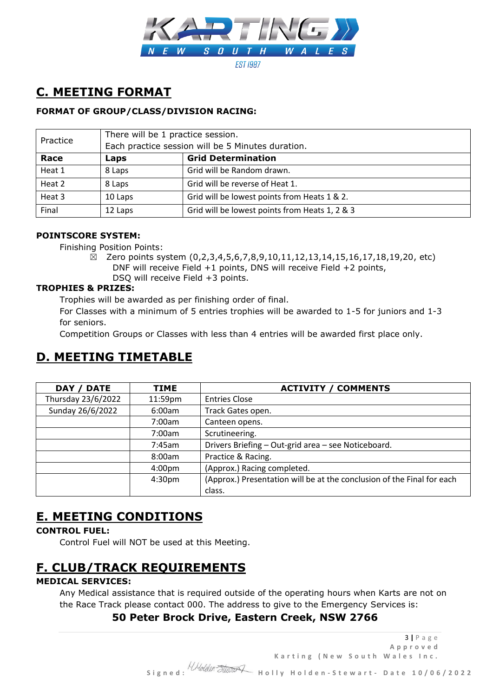

# **C. MEETING FORMAT**

#### **FORMAT OF GROUP/CLASS/DIVISION RACING:**

| Practice | There will be 1 practice session.                 |                                                |
|----------|---------------------------------------------------|------------------------------------------------|
|          | Each practice session will be 5 Minutes duration. |                                                |
| Race     | Laps                                              | <b>Grid Determination</b>                      |
| Heat 1   | 8 Laps                                            | Grid will be Random drawn.                     |
| Heat 2   | 8 Laps                                            | Grid will be reverse of Heat 1.                |
| Heat 3   | 10 Laps                                           | Grid will be lowest points from Heats 1 & 2.   |
| Final    | 12 Laps                                           | Grid will be lowest points from Heats 1, 2 & 3 |

#### **POINTSCORE SYSTEM:**

Finishing Position Points:

 $\boxtimes$  Zero points system (0,2,3,4,5,6,7,8,9,10,11,12,13,14,15,16,17,18,19,20, etc) DNF will receive Field +1 points, DNS will receive Field +2 points, DSQ will receive Field +3 points.

#### **TROPHIES & PRIZES:**

Trophies will be awarded as per finishing order of final.

For Classes with a minimum of 5 entries trophies will be awarded to 1-5 for juniors and 1-3 for seniors.

Competition Groups or Classes with less than 4 entries will be awarded first place only.

# **D. MEETING TIMETABLE**

| DAY / DATE         | TIME               | <b>ACTIVITY / COMMENTS</b>                                             |
|--------------------|--------------------|------------------------------------------------------------------------|
| Thursday 23/6/2022 | 11:59pm            | <b>Entries Close</b>                                                   |
| Sunday 26/6/2022   | 6:00am             | Track Gates open.                                                      |
|                    | 7:00am             | Canteen opens.                                                         |
|                    | 7:00am             | Scrutineering.                                                         |
|                    | 7:45am             | Drivers Briefing - Out-grid area - see Noticeboard.                    |
|                    | 8:00am             | Practice & Racing.                                                     |
|                    | 4:00 <sub>pm</sub> | (Approx.) Racing completed.                                            |
|                    | 4:30 <sub>pm</sub> | (Approx.) Presentation will be at the conclusion of the Final for each |
|                    |                    | class.                                                                 |

# **E. MEETING CONDITIONS**

#### **CONTROL FUEL:**

Control Fuel will NOT be used at this Meeting.

# **F. CLUB/TRACK REQUIREMENTS**

#### **MEDICAL SERVICES:**

Any Medical assistance that is required outside of the operating hours when Karts are not on the Race Track please contact 000. The address to give to the Emergency Services is:

#### **50 Peter Brock Drive, Eastern Creek, NSW 2766**

3 **|** P a g e